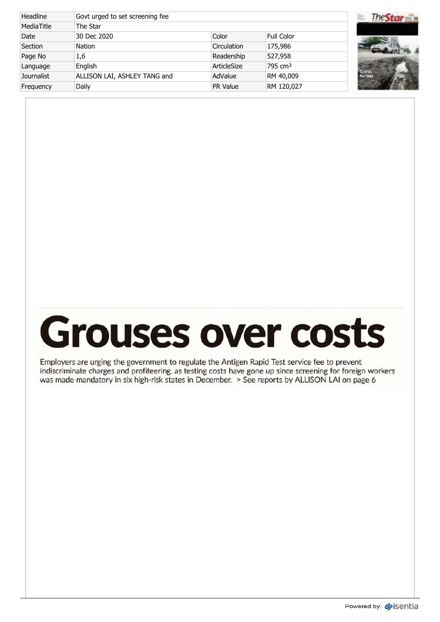| Headline          | Govt urged to set screening fee |                 |                     |  |
|-------------------|---------------------------------|-----------------|---------------------|--|
| MediaTitle        | The Star                        |                 |                     |  |
| Date              | 30 Dec 2020                     | Color           | Full Color          |  |
| Section           | <b>Nation</b>                   | Circulation     | 175,986             |  |
| Page No           | 1,6                             | Readership      | 527,958             |  |
| Language          | English                         | ArticleSize     | 795 cm <sup>2</sup> |  |
| <b>Journalist</b> | ALLISON LAI, ASHLEY TANG and    | AdValue         | RM 40,009           |  |
| Frequency         | Daily                           | <b>PR Value</b> | RM 120,027          |  |



## **Grouses over costs**

Employers are urging the government to regulate the Antigen Rapid Test service fee to prevent indiscriminate charges and profiteering, as testing costs have gone up since screening for foreign workers was made mandatory in six high-risk states in December. > See reports by ALLISON LAI on page 6